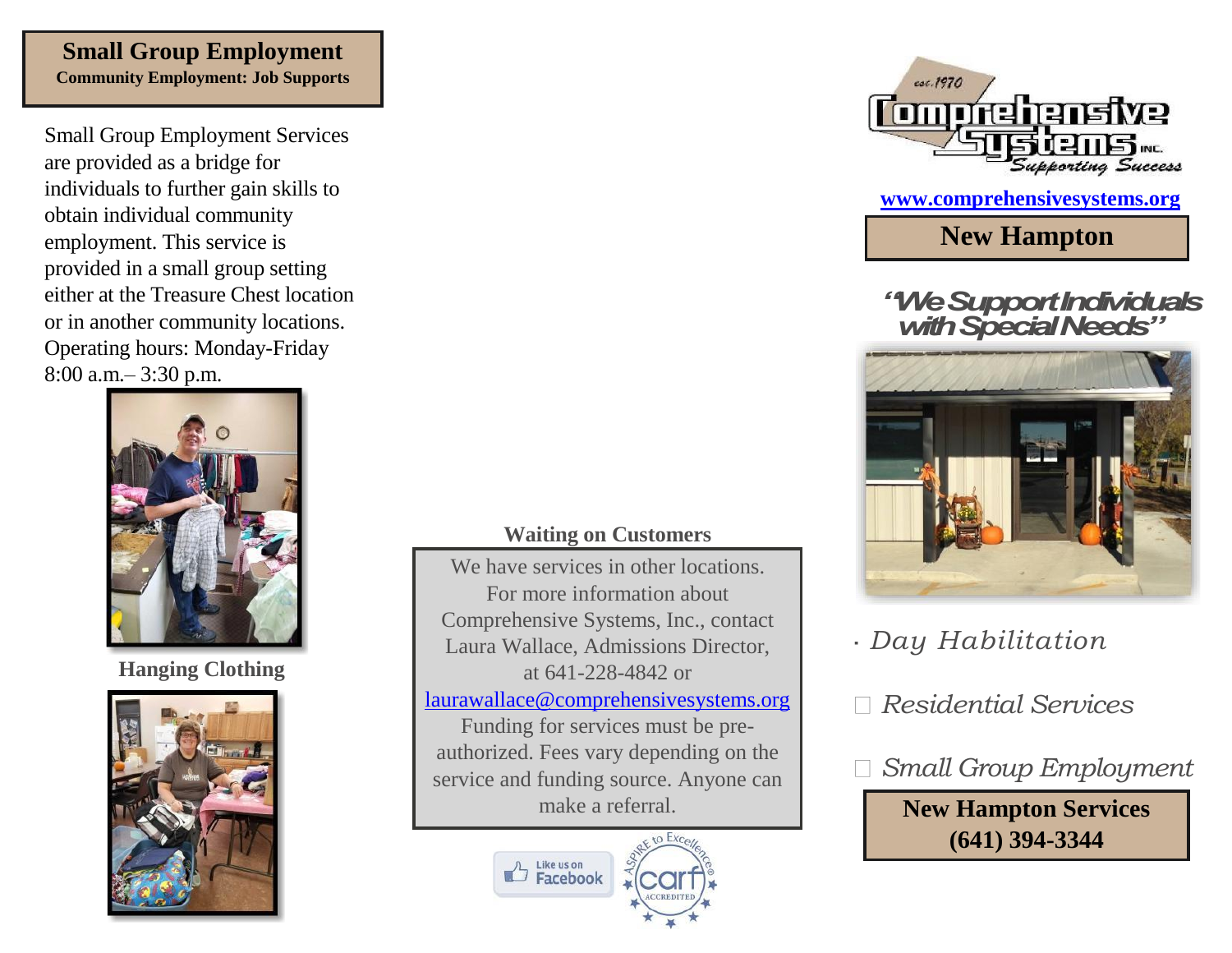## **Small Group Employment Community Employment: Job Supports**

Small Group Employment Services are provided as a bridge for individuals to further gain skills to obtain individual community employment. This service is provided in a small group setting either at the Treasure Chest location or in another community locations. Operating hours: Monday-Friday 8:00 a.m.– 3:30 p.m.



**Hanging Clothing**



## **Waiting on Customers**

We have services in other locations. For more information about Comprehensive Systems, Inc., contact Laura Wallace, Admissions Director, at 641-228-4842 or [laurawallace@comprehensivesystems.org](mailto:laurawallace@comprehensivesystems.org) Funding for services must be preauthorized. Fees vary depending on the service and funding source. Anyone can make a referral.





**[www.comprehensivesystems.org](http://www.comprehensivesystems.org/)**

**New Hampton**

*"We Support Individuals with Special Needs"*



*Day Habilitation*

*Residential Services*



**New Hampton Services (641) 394-3344**